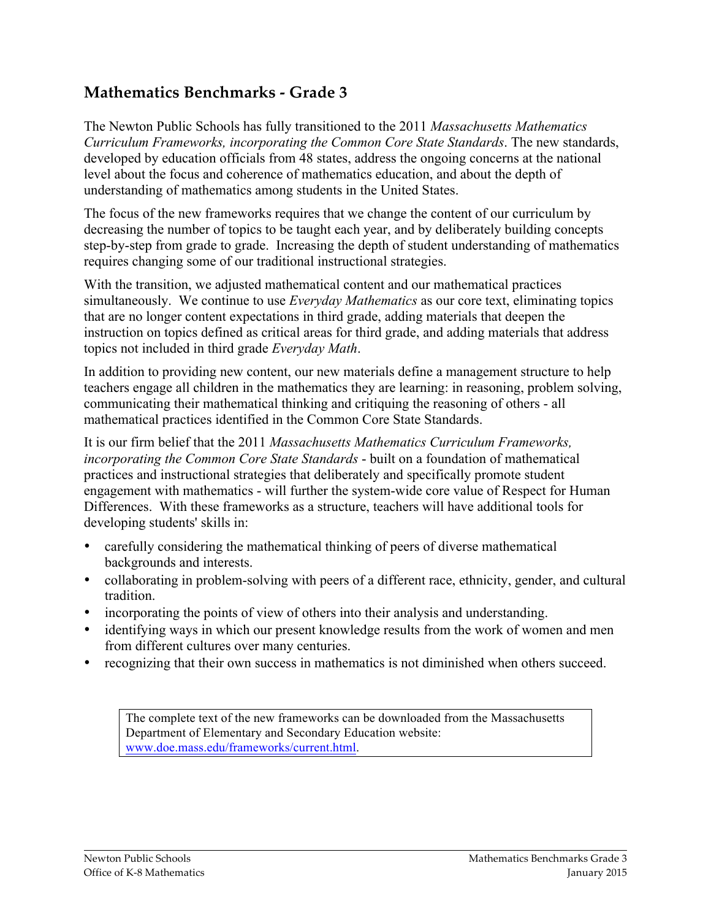# **Mathematics Benchmarks - Grade 3**

The Newton Public Schools has fully transitioned to the 2011 *Massachusetts Mathematics Curriculum Frameworks, incorporating the Common Core State Standards*. The new standards, developed by education officials from 48 states, address the ongoing concerns at the national level about the focus and coherence of mathematics education, and about the depth of understanding of mathematics among students in the United States.

The focus of the new frameworks requires that we change the content of our curriculum by decreasing the number of topics to be taught each year, and by deliberately building concepts step-by-step from grade to grade. Increasing the depth of student understanding of mathematics requires changing some of our traditional instructional strategies.

With the transition, we adjusted mathematical content and our mathematical practices simultaneously. We continue to use *Everyday Mathematics* as our core text, eliminating topics that are no longer content expectations in third grade, adding materials that deepen the instruction on topics defined as critical areas for third grade, and adding materials that address topics not included in third grade *Everyday Math*.

In addition to providing new content, our new materials define a management structure to help teachers engage all children in the mathematics they are learning: in reasoning, problem solving, communicating their mathematical thinking and critiquing the reasoning of others - all mathematical practices identified in the Common Core State Standards.

It is our firm belief that the 2011 *Massachusetts Mathematics Curriculum Frameworks, incorporating the Common Core State Standards* - built on a foundation of mathematical practices and instructional strategies that deliberately and specifically promote student engagement with mathematics - will further the system-wide core value of Respect for Human Differences. With these frameworks as a structure, teachers will have additional tools for developing students' skills in:

- carefully considering the mathematical thinking of peers of diverse mathematical backgrounds and interests.
- collaborating in problem-solving with peers of a different race, ethnicity, gender, and cultural tradition.
- incorporating the points of view of others into their analysis and understanding.
- identifying ways in which our present knowledge results from the work of women and men from different cultures over many centuries.
- recognizing that their own success in mathematics is not diminished when others succeed.

The complete text of the new frameworks can be downloaded from the Massachusetts Department of Elementary and Secondary Education website: www.doe.mass.edu/frameworks/current.html.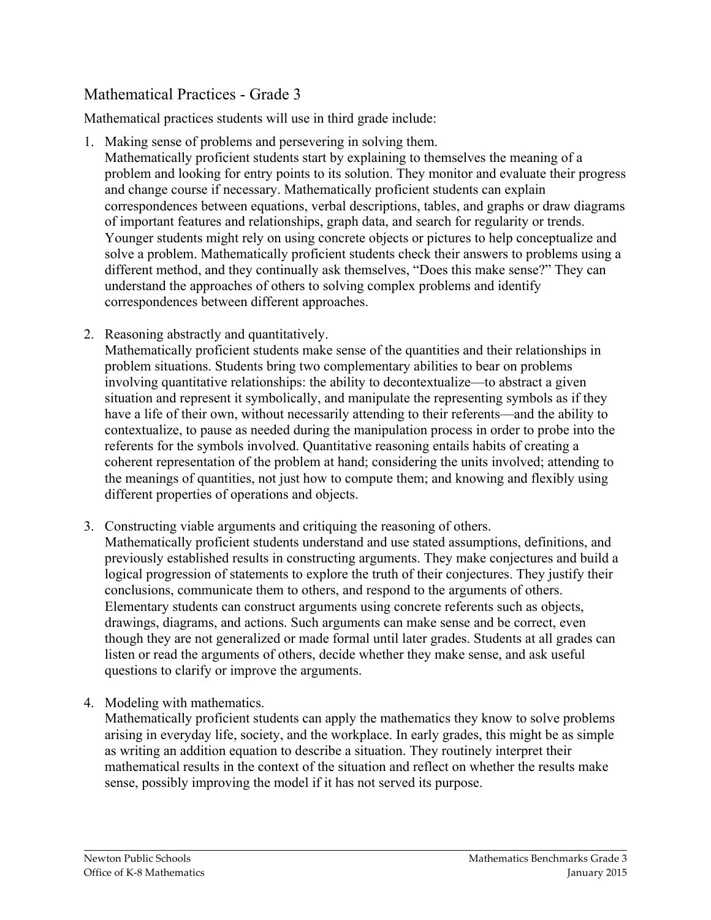# Mathematical Practices - Grade 3

Mathematical practices students will use in third grade include:

1. Making sense of problems and persevering in solving them.

Mathematically proficient students start by explaining to themselves the meaning of a problem and looking for entry points to its solution. They monitor and evaluate their progress and change course if necessary. Mathematically proficient students can explain correspondences between equations, verbal descriptions, tables, and graphs or draw diagrams of important features and relationships, graph data, and search for regularity or trends. Younger students might rely on using concrete objects or pictures to help conceptualize and solve a problem. Mathematically proficient students check their answers to problems using a different method, and they continually ask themselves, "Does this make sense?" They can understand the approaches of others to solving complex problems and identify correspondences between different approaches.

2. Reasoning abstractly and quantitatively.

Mathematically proficient students make sense of the quantities and their relationships in problem situations. Students bring two complementary abilities to bear on problems involving quantitative relationships: the ability to decontextualize—to abstract a given situation and represent it symbolically, and manipulate the representing symbols as if they have a life of their own, without necessarily attending to their referents—and the ability to contextualize, to pause as needed during the manipulation process in order to probe into the referents for the symbols involved. Quantitative reasoning entails habits of creating a coherent representation of the problem at hand; considering the units involved; attending to the meanings of quantities, not just how to compute them; and knowing and flexibly using different properties of operations and objects.

- 3. Constructing viable arguments and critiquing the reasoning of others. Mathematically proficient students understand and use stated assumptions, definitions, and previously established results in constructing arguments. They make conjectures and build a logical progression of statements to explore the truth of their conjectures. They justify their conclusions, communicate them to others, and respond to the arguments of others. Elementary students can construct arguments using concrete referents such as objects, drawings, diagrams, and actions. Such arguments can make sense and be correct, even though they are not generalized or made formal until later grades. Students at all grades can listen or read the arguments of others, decide whether they make sense, and ask useful questions to clarify or improve the arguments.
- 4. Modeling with mathematics.

Mathematically proficient students can apply the mathematics they know to solve problems arising in everyday life, society, and the workplace. In early grades, this might be as simple as writing an addition equation to describe a situation. They routinely interpret their mathematical results in the context of the situation and reflect on whether the results make sense, possibly improving the model if it has not served its purpose.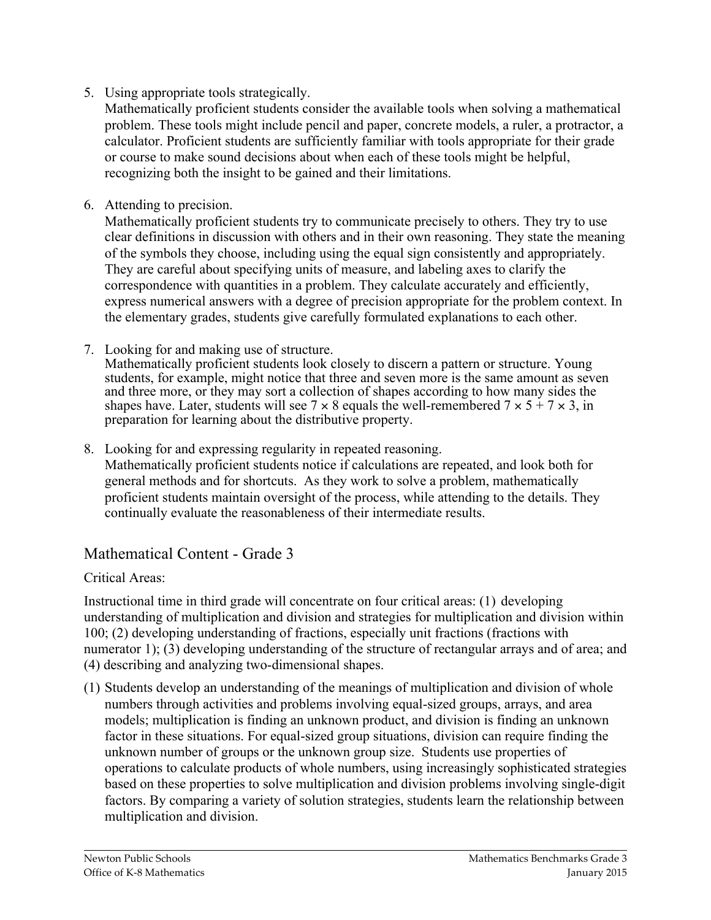5. Using appropriate tools strategically.

Mathematically proficient students consider the available tools when solving a mathematical problem. These tools might include pencil and paper, concrete models, a ruler, a protractor, a calculator. Proficient students are sufficiently familiar with tools appropriate for their grade or course to make sound decisions about when each of these tools might be helpful, recognizing both the insight to be gained and their limitations.

6. Attending to precision.

Mathematically proficient students try to communicate precisely to others. They try to use clear definitions in discussion with others and in their own reasoning. They state the meaning of the symbols they choose, including using the equal sign consistently and appropriately. They are careful about specifying units of measure, and labeling axes to clarify the correspondence with quantities in a problem. They calculate accurately and efficiently, express numerical answers with a degree of precision appropriate for the problem context. In the elementary grades, students give carefully formulated explanations to each other.

7. Looking for and making use of structure.

Mathematically proficient students look closely to discern a pattern or structure. Young students, for example, might notice that three and seven more is the same amount as seven and three more, or they may sort a collection of shapes according to how many sides the shapes have. Later, students will see  $7 \times 8$  equals the well-remembered  $7 \times 5 + 7 \times 3$ , in preparation for learning about the distributive property.

8. Looking for and expressing regularity in repeated reasoning.

Mathematically proficient students notice if calculations are repeated, and look both for general methods and for shortcuts. As they work to solve a problem, mathematically proficient students maintain oversight of the process, while attending to the details. They continually evaluate the reasonableness of their intermediate results.

# Mathematical Content - Grade 3

## Critical Areas:

Instructional time in third grade will concentrate on four critical areas: (1) developing understanding of multiplication and division and strategies for multiplication and division within 100; (2) developing understanding of fractions, especially unit fractions (fractions with numerator 1); (3) developing understanding of the structure of rectangular arrays and of area; and (4) describing and analyzing two-dimensional shapes.

(1) Students develop an understanding of the meanings of multiplication and division of whole numbers through activities and problems involving equal-sized groups, arrays, and area models; multiplication is finding an unknown product, and division is finding an unknown factor in these situations. For equal-sized group situations, division can require finding the unknown number of groups or the unknown group size. Students use properties of operations to calculate products of whole numbers, using increasingly sophisticated strategies based on these properties to solve multiplication and division problems involving single-digit factors. By comparing a variety of solution strategies, students learn the relationship between multiplication and division.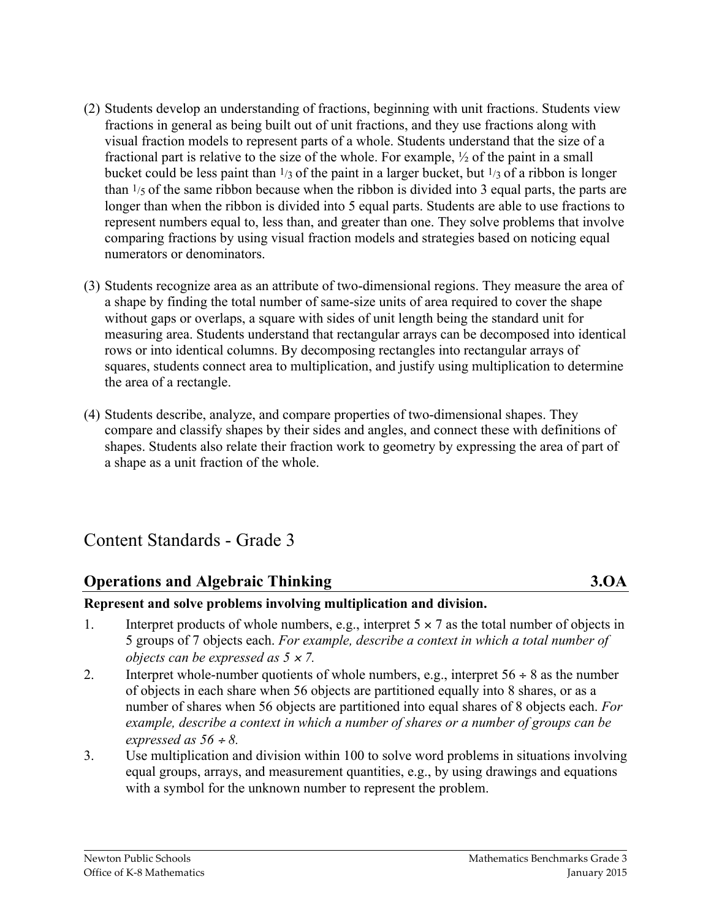- (2) Students develop an understanding of fractions, beginning with unit fractions. Students view fractions in general as being built out of unit fractions, and they use fractions along with visual fraction models to represent parts of a whole. Students understand that the size of a fractional part is relative to the size of the whole. For example,  $\frac{1}{2}$  of the paint in a small bucket could be less paint than  $\frac{1}{3}$  of the paint in a larger bucket, but  $\frac{1}{3}$  of a ribbon is longer than 1/5 of the same ribbon because when the ribbon is divided into 3 equal parts, the parts are longer than when the ribbon is divided into 5 equal parts. Students are able to use fractions to represent numbers equal to, less than, and greater than one. They solve problems that involve comparing fractions by using visual fraction models and strategies based on noticing equal numerators or denominators.
- (3) Students recognize area as an attribute of two-dimensional regions. They measure the area of a shape by finding the total number of same-size units of area required to cover the shape without gaps or overlaps, a square with sides of unit length being the standard unit for measuring area. Students understand that rectangular arrays can be decomposed into identical rows or into identical columns. By decomposing rectangles into rectangular arrays of squares, students connect area to multiplication, and justify using multiplication to determine the area of a rectangle.
- (4) Students describe, analyze, and compare properties of two-dimensional shapes. They compare and classify shapes by their sides and angles, and connect these with definitions of shapes. Students also relate their fraction work to geometry by expressing the area of part of a shape as a unit fraction of the whole.

# Content Standards - Grade 3

# **Operations and Algebraic Thinking 3.OA**

## **Represent and solve problems involving multiplication and division.**

- 1. Interpret products of whole numbers, e.g., interpret  $5 \times 7$  as the total number of objects in 5 groups of 7 objects each. *For example, describe a context in which a total number of objects can be expressed as 5* <sup>×</sup> *7.*
- 2. Interpret whole-number quotients of whole numbers, e.g., interpret  $56 \div 8$  as the number of objects in each share when 56 objects are partitioned equally into 8 shares, or as a number of shares when 56 objects are partitioned into equal shares of 8 objects each. *For example, describe a context in which a number of shares or a number of groups can be expressed as*  $56 \div 8$ .
- 3. Use multiplication and division within 100 to solve word problems in situations involving equal groups, arrays, and measurement quantities, e.g., by using drawings and equations with a symbol for the unknown number to represent the problem.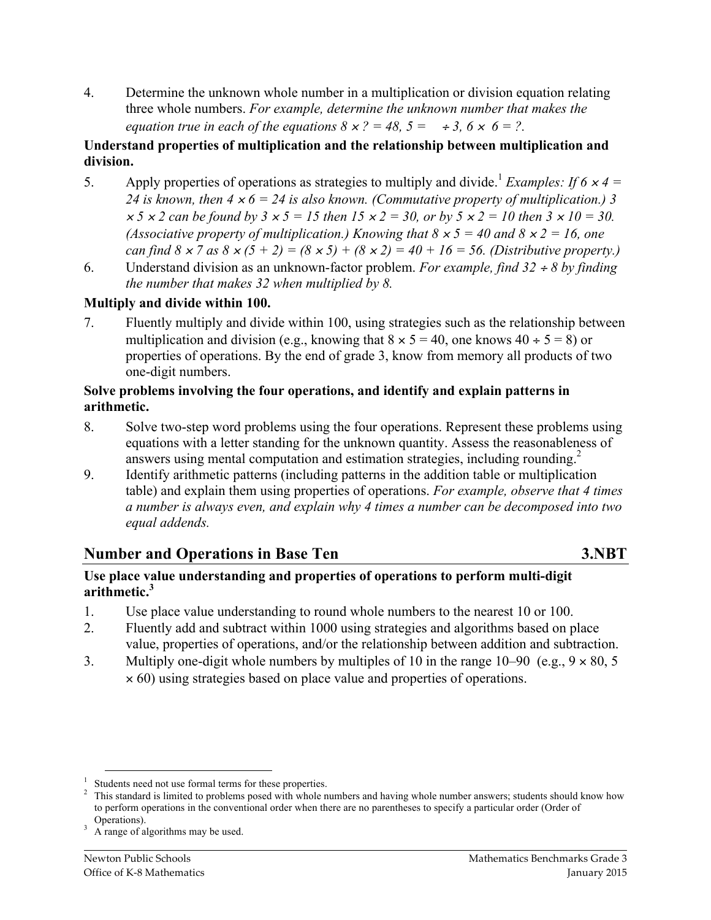4. Determine the unknown whole number in a multiplication or division equation relating three whole numbers. *For example, determine the unknown number that makes the equation true in each of the equations*  $8 \times ? = 48$ *,*  $5 = \div 3$ *,*  $6 \times 6 = ?$ *.* 

## **Understand properties of multiplication and the relationship between multiplication and division.**

- 5. Apply properties of operations as strategies to multiply and divide.<sup>1</sup> *Examples: If 6*  $\times$  *4 =* 24 is known, then  $4 \times 6 = 24$  is also known. (Commutative property of multiplication.) 3 × *5* <sup>×</sup> *2 can be found by 3* <sup>×</sup> *5 = 15 then 15* <sup>×</sup> *2 = 30, or by 5* <sup>×</sup> *2 = 10 then 3* <sup>×</sup> *10 = 30. (Associative property of multiplication.) Knowing that 8*  $\times$  *5 = 40 and 8*  $\times$  *2 = 16, one can find 8*  $\times$  *7 as 8*  $\times$  *(5 + 2)* = (8  $\times$  5) + (8  $\times$  2) = 40 + 16 = 56. (Distributive property.)
- 6. Understand division as an unknown-factor problem. *For example, find 32* <sup>÷</sup> *8 by finding the number that makes 32 when multiplied by 8.*

## **Multiply and divide within 100.**

7. Fluently multiply and divide within 100, using strategies such as the relationship between multiplication and division (e.g., knowing that  $8 \times 5 = 40$ , one knows  $40 \div 5 = 8$ ) or properties of operations. By the end of grade 3, know from memory all products of two one-digit numbers.

## **Solve problems involving the four operations, and identify and explain patterns in arithmetic.**

- 8. Solve two-step word problems using the four operations. Represent these problems using equations with a letter standing for the unknown quantity. Assess the reasonableness of answers using mental computation and estimation strategies, including rounding.<sup>2</sup>
- 9. Identify arithmetic patterns (including patterns in the addition table or multiplication table) and explain them using properties of operations. *For example, observe that 4 times a number is always even, and explain why 4 times a number can be decomposed into two equal addends.*

# **Number and Operations in Base Ten 3.NBT**

## **Use place value understanding and properties of operations to perform multi-digit arithmetic.<sup>3</sup>**

- 1. Use place value understanding to round whole numbers to the nearest 10 or 100.
- 2. Fluently add and subtract within 1000 using strategies and algorithms based on place value, properties of operations, and/or the relationship between addition and subtraction.
- 3. Multiply one-digit whole numbers by multiples of 10 in the range 10–90 (e.g.,  $9 \times 80$ , 5 × 60) using strategies based on place value and properties of operations.

<sup>&</sup>lt;sup>1</sup> Students need not use formal terms for these properties.<br><sup>2</sup> This standard is limited to problems posed with whole numbers and having whole number answers; students should know how to perform operations in the conventional order when there are no parentheses to specify a particular order (Order of

 $\frac{3}{3}$  A range of algorithms may be used.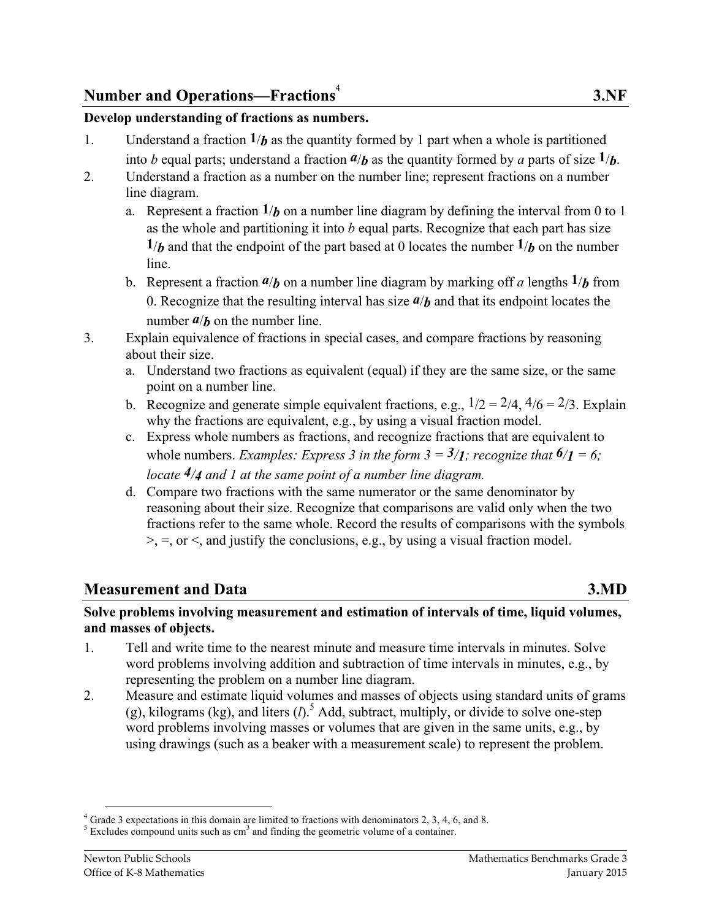# **Number and Operations—Fractions**<sup>4</sup>

### **Develop understanding of fractions as numbers.**

- 1. Understand a fraction  $1/b$  as the quantity formed by 1 part when a whole is partitioned into *b* equal parts; understand a fraction  $a/b$  as the quantity formed by *a* parts of size  $1/b$ .
- 2. Understand a fraction as a number on the number line; represent fractions on a number line diagram.
	- a. Represent a fraction  $1/b$  on a number line diagram by defining the interval from 0 to 1 as the whole and partitioning it into *b* equal parts. Recognize that each part has size  $1/b$  and that the endpoint of the part based at 0 locates the number  $1/b$  on the number line.
	- b. Represent a fraction  $a/b$  on a number line diagram by marking off *a* lengths  $1/b$  from 0. Recognize that the resulting interval has size *a*/*b* and that its endpoint locates the number  $a/b$  on the number line.
- 3. Explain equivalence of fractions in special cases, and compare fractions by reasoning about their size.
	- a. Understand two fractions as equivalent (equal) if they are the same size, or the same point on a number line.
	- b. Recognize and generate simple equivalent fractions, e.g.,  $1/2 = 2/4$ ,  $4/6 = 2/3$ . Explain why the fractions are equivalent, e.g., by using a visual fraction model.
	- c. Express whole numbers as fractions, and recognize fractions that are equivalent to whole numbers. *Examples: Express 3 in the form*  $3 = \frac{3}{1}$ *; recognize that*  $\frac{6}{1} = 6$ ; *locate 4/4 and 1 at the same point of a number line diagram.*
	- d. Compare two fractions with the same numerator or the same denominator by reasoning about their size. Recognize that comparisons are valid only when the two fractions refer to the same whole. Record the results of comparisons with the symbols  $\ge$ ,  $\equiv$ , or  $\le$ , and justify the conclusions, e.g., by using a visual fraction model.

# **Measurement and Data** 3.MD

#### **Solve problems involving measurement and estimation of intervals of time, liquid volumes, and masses of objects.**

- 1. Tell and write time to the nearest minute and measure time intervals in minutes. Solve word problems involving addition and subtraction of time intervals in minutes, e.g., by representing the problem on a number line diagram.
- 2. Measure and estimate liquid volumes and masses of objects using standard units of grams (g), kilograms (kg), and liters  $(l)$ .<sup>5</sup> Add, subtract, multiply, or divide to solve one-step word problems involving masses or volumes that are given in the same units, e.g., by using drawings (such as a beaker with a measurement scale) to represent the problem.

1

 $4$  Grade 3 expectations in this domain are limited to fractions with denominators 2, 3, 4, 6, and 8.

 $<sup>5</sup>$  Excludes compound units such as cm<sup>3</sup> and finding the geometric volume of a container.</sup>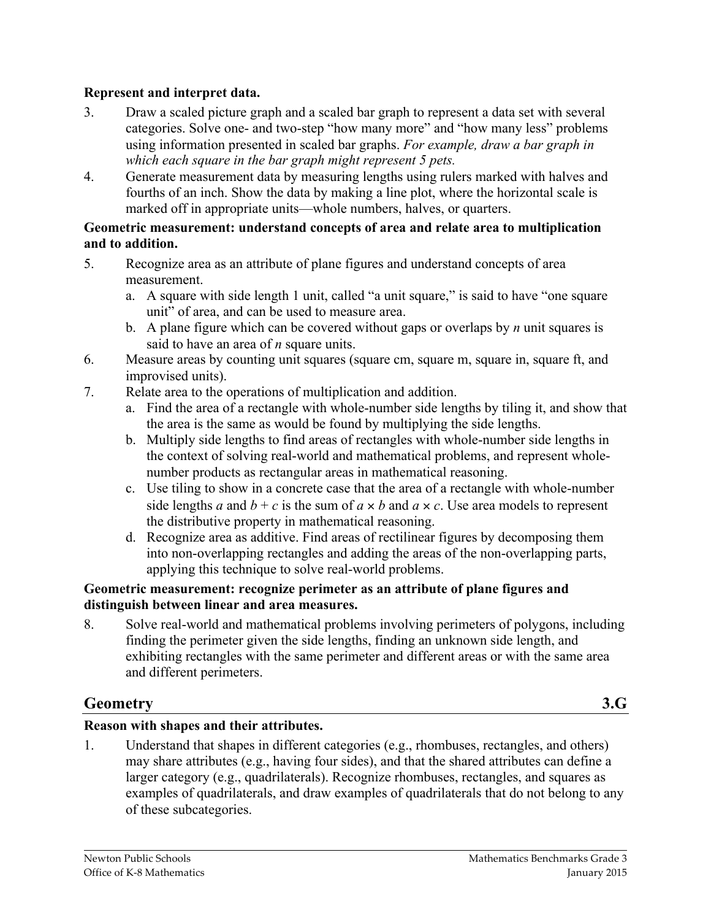## **Represent and interpret data.**

- 3. Draw a scaled picture graph and a scaled bar graph to represent a data set with several categories. Solve one- and two-step "how many more" and "how many less" problems using information presented in scaled bar graphs. *For example, draw a bar graph in which each square in the bar graph might represent 5 pets.*
- 4. Generate measurement data by measuring lengths using rulers marked with halves and fourths of an inch. Show the data by making a line plot, where the horizontal scale is marked off in appropriate units—whole numbers, halves, or quarters.

#### **Geometric measurement: understand concepts of area and relate area to multiplication and to addition.**

- 5. Recognize area as an attribute of plane figures and understand concepts of area measurement.
	- a. A square with side length 1 unit, called "a unit square," is said to have "one square unit" of area, and can be used to measure area.
	- b. A plane figure which can be covered without gaps or overlaps by *n* unit squares is said to have an area of *n* square units.
- 6. Measure areas by counting unit squares (square cm, square m, square in, square ft, and improvised units).
- 7. Relate area to the operations of multiplication and addition.
	- a. Find the area of a rectangle with whole-number side lengths by tiling it, and show that the area is the same as would be found by multiplying the side lengths.
	- b. Multiply side lengths to find areas of rectangles with whole-number side lengths in the context of solving real-world and mathematical problems, and represent wholenumber products as rectangular areas in mathematical reasoning.
	- c. Use tiling to show in a concrete case that the area of a rectangle with whole-number side lengths *a* and  $b + c$  is the sum of  $a \times b$  and  $a \times c$ . Use area models to represent the distributive property in mathematical reasoning.
	- d. Recognize area as additive. Find areas of rectilinear figures by decomposing them into non-overlapping rectangles and adding the areas of the non-overlapping parts, applying this technique to solve real-world problems.

#### **Geometric measurement: recognize perimeter as an attribute of plane figures and distinguish between linear and area measures.**

8. Solve real-world and mathematical problems involving perimeters of polygons, including finding the perimeter given the side lengths, finding an unknown side length, and exhibiting rectangles with the same perimeter and different areas or with the same area and different perimeters.

# **Geometry 3.G**

## **Reason with shapes and their attributes.**

1. Understand that shapes in different categories (e.g., rhombuses, rectangles, and others) may share attributes (e.g., having four sides), and that the shared attributes can define a larger category (e.g., quadrilaterals). Recognize rhombuses, rectangles, and squares as examples of quadrilaterals, and draw examples of quadrilaterals that do not belong to any of these subcategories.